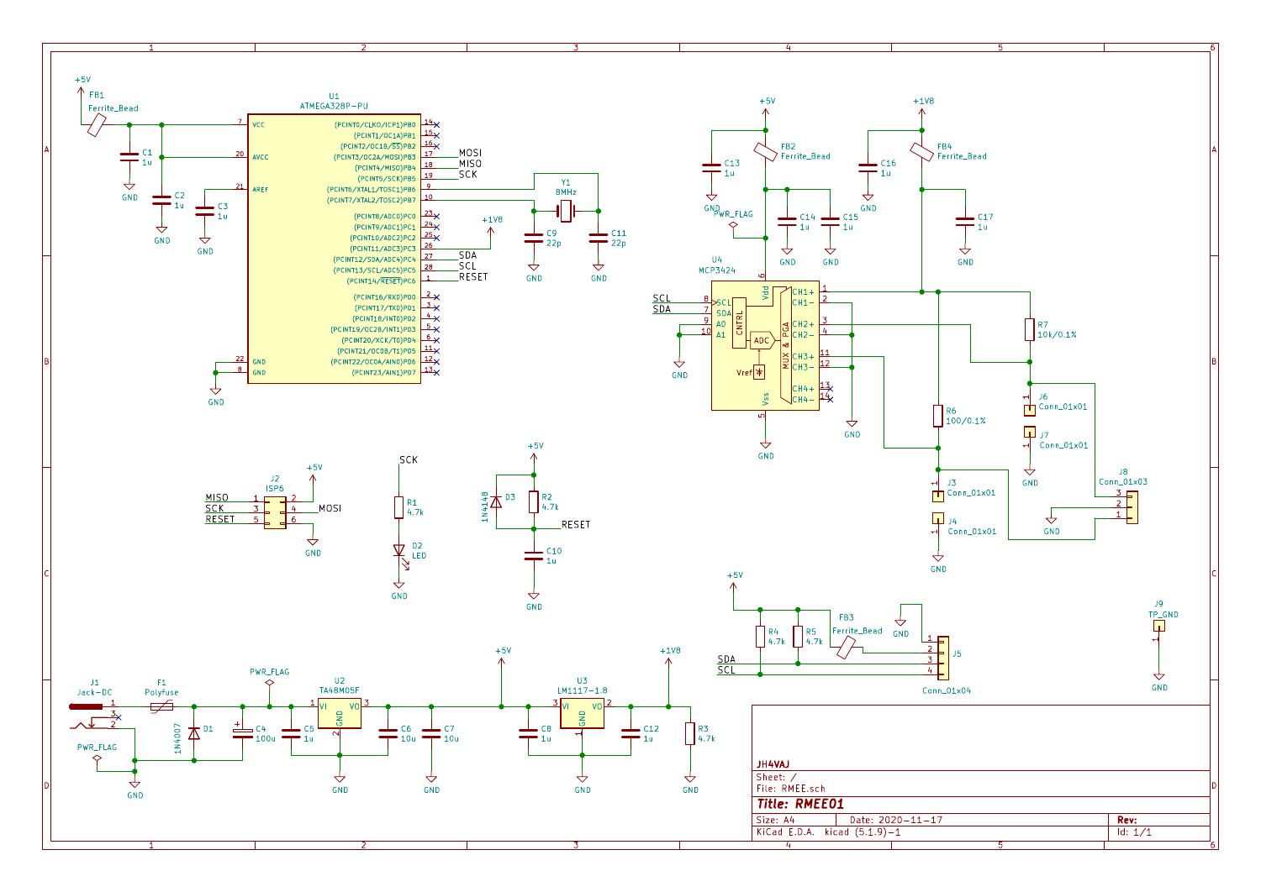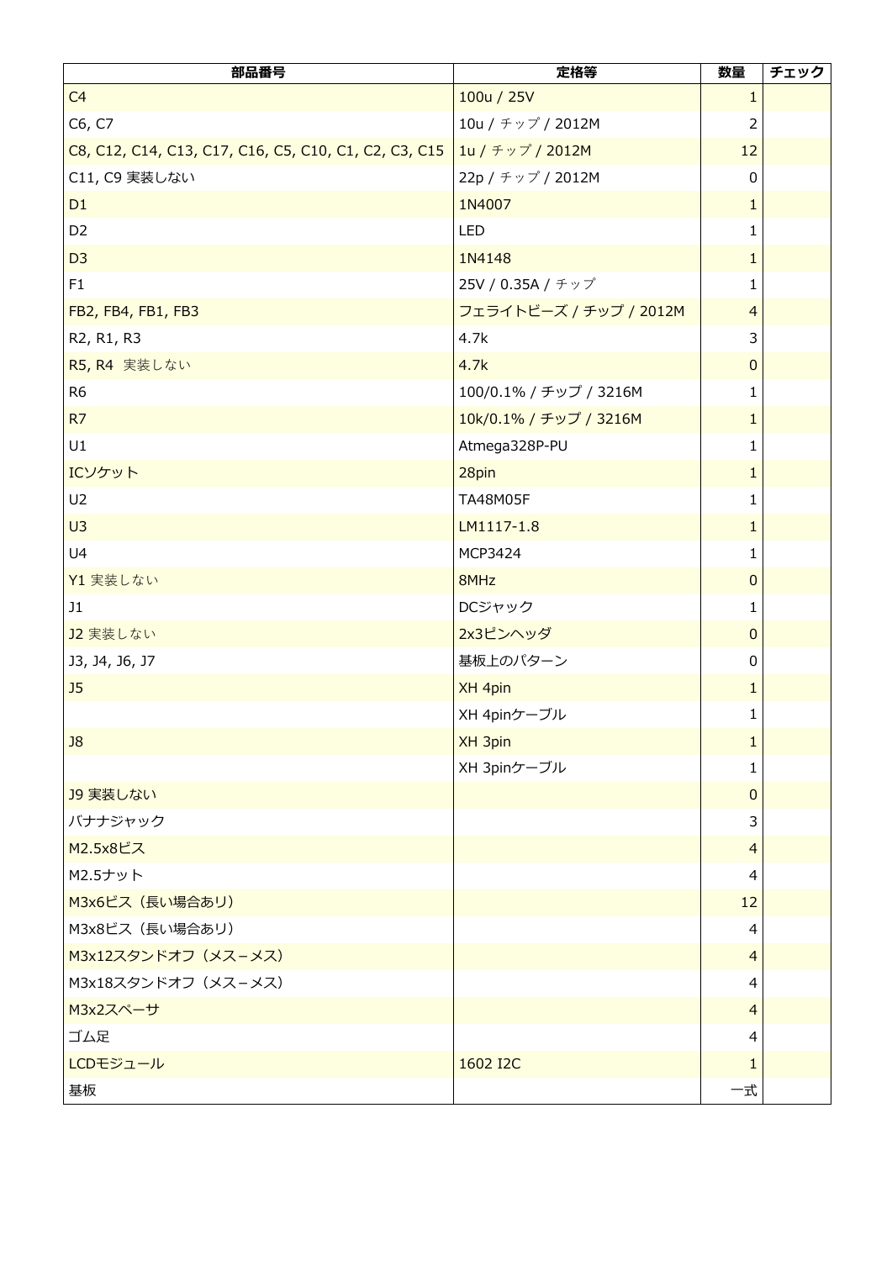| 部品番号                                                                     | 定格等                    | 数量             | チェック |
|--------------------------------------------------------------------------|------------------------|----------------|------|
| C <sub>4</sub>                                                           | 100u / 25V             | $\mathbf{1}$   |      |
| C6, C7                                                                   | 10u / チップ / 2012M      | $\overline{2}$ |      |
| C8, C12, C14, C13, C17, C16, C5, C10, C1, C2, C3, C15   1u / チップ / 2012M |                        | 12             |      |
| C11, C9 実装しない                                                            | 22p / チップ / 2012M      | 0              |      |
| D <sub>1</sub>                                                           | 1N4007                 | $\mathbf{1}$   |      |
| D <sub>2</sub>                                                           | LED                    | $\mathbf{1}$   |      |
| D <sub>3</sub>                                                           | 1N4148                 | $\mathbf{1}$   |      |
| F1                                                                       | 25V / 0.35A / チップ      | $\mathbf{1}$   |      |
| FB2, FB4, FB1, FB3                                                       | フェライトビーズ / チップ / 2012M | $\overline{4}$ |      |
| R2, R1, R3                                                               | 4.7k                   | 3              |      |
| R5, R4 実装しない                                                             | 4.7k                   | $\pmb{0}$      |      |
| R <sub>6</sub>                                                           | 100/0.1% / チップ / 3216M | $\mathbf{1}$   |      |
| R <sub>7</sub>                                                           | 10k/0.1% / チップ / 3216M | $\mathbf{1}$   |      |
| U1                                                                       | Atmega328P-PU          | $\mathbf{1}$   |      |
| ICソケット                                                                   | 28pin                  | $\mathbf{1}$   |      |
| U2                                                                       | TA48M05F               | $\mathbf{1}$   |      |
| U <sub>3</sub>                                                           | LM1117-1.8             | $\mathbf{1}$   |      |
| U4                                                                       | MCP3424                | $\mathbf{1}$   |      |
| Y1 実装しない                                                                 | 8MHz                   | $\mathbf{0}$   |      |
| J1                                                                       | DCジャック                 | 1              |      |
| J2 実装しない                                                                 | 2x3ピンヘッダ               | $\mathbf{0}$   |      |
| 13, 14, 16, 17                                                           | 基板上のパターン               | 0              |      |
| J <sub>5</sub>                                                           | XH 4pin                | $\mathbf{1}$   |      |
|                                                                          | XH 4pinケーブル            | 1              |      |
| J8                                                                       | XH 3pin                | 1              |      |
|                                                                          | XH 3pinケーブル            | 1              |      |
| J9 実装しない                                                                 |                        | $\overline{0}$ |      |
| バナナジャック                                                                  |                        | 3              |      |
| M2.5x8ビス                                                                 |                        | $\overline{4}$ |      |
| M2.5ナット                                                                  |                        | 4              |      |
| M3x6ビス (長い場合あリ)                                                          |                        | 12             |      |
| M3x8ビス (長い場合あリ)                                                          |                        | $\overline{4}$ |      |
| M3x12スタンドオフ (メスーメス)                                                      |                        | $\overline{4}$ |      |
| M3x18スタンドオフ (メス-メス)                                                      |                        | 4              |      |
| M3x2スペーサ                                                                 |                        | $\overline{4}$ |      |
| ゴム足                                                                      |                        | 4              |      |
| LCDモジュール                                                                 | 1602 I2C               | 1              |      |
| 基板                                                                       |                        | 一式             |      |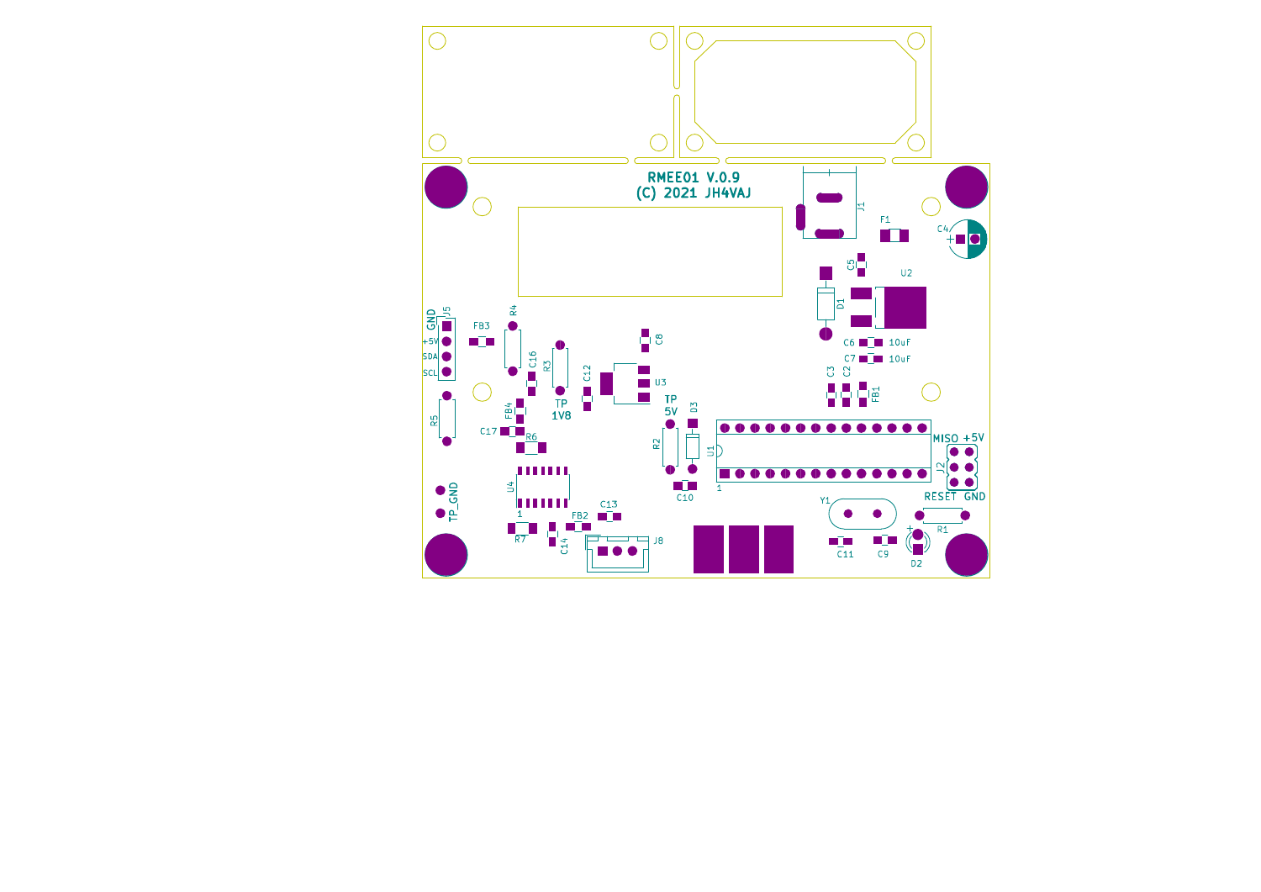